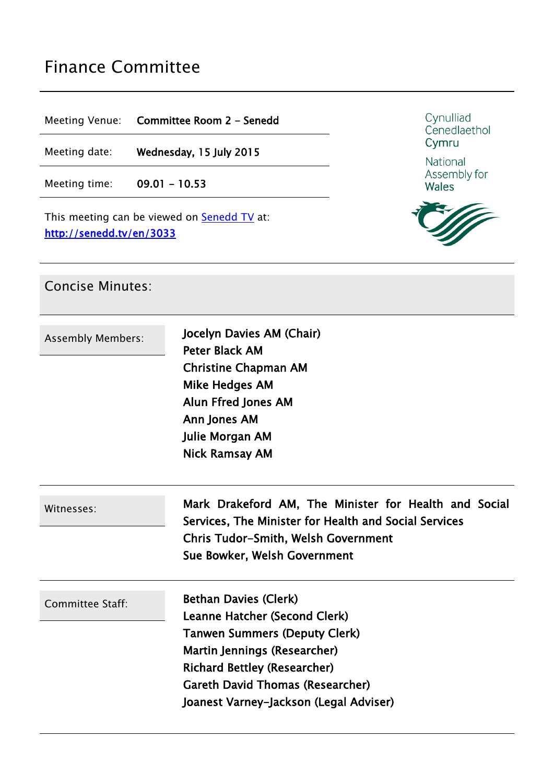# Finance Committee

Meeting Venue: **Committee Room 2 - Senedd**

Meeting date: **Wednesday, 15 July 2015**

Meeting time: **09.01 - 10.53**

This meeting can be viewed on **[Senedd](http://senedd.tv/) TV** at: **http://senedd.tv/en/3033**



National Assembly for Wales



#### Concise Minutes:

| <b>Assembly Members:</b> | Jocelyn Davies AM (Chair)<br><b>Peter Black AM</b><br><b>Christine Chapman AM</b><br><b>Mike Hedges AM</b><br>Alun Ffred Jones AM<br>Ann Jones AM<br>Julie Morgan AM<br><b>Nick Ramsay AM</b>                                                                     |
|--------------------------|-------------------------------------------------------------------------------------------------------------------------------------------------------------------------------------------------------------------------------------------------------------------|
| Witnesses:               | Mark Drakeford AM, The Minister for Health and Social<br>Services, The Minister for Health and Social Services<br><b>Chris Tudor-Smith, Welsh Government</b><br>Sue Bowker, Welsh Government                                                                      |
| Committee Staff:         | <b>Bethan Davies (Clerk)</b><br>Leanne Hatcher (Second Clerk)<br><b>Tanwen Summers (Deputy Clerk)</b><br>Martin Jennings (Researcher)<br><b>Richard Bettley (Researcher)</b><br><b>Gareth David Thomas (Researcher)</b><br>Joanest Varney-Jackson (Legal Adviser) |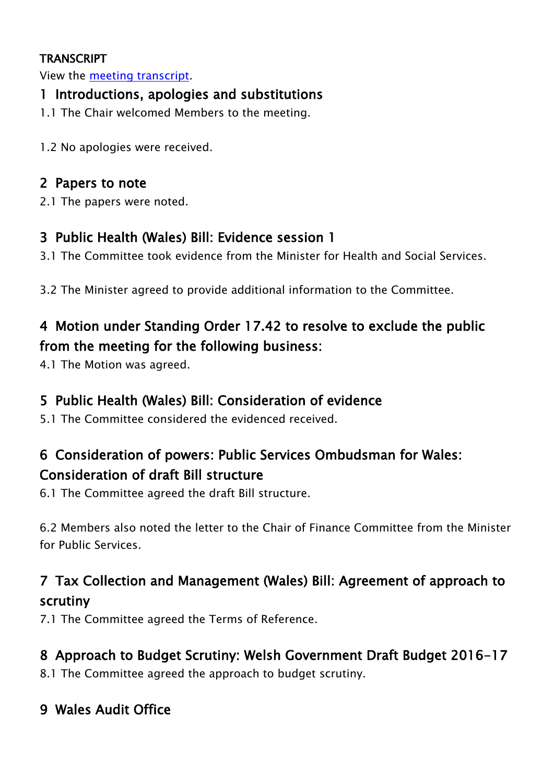#### **TRANSCRIPT**

View the meeting [transcript](http://www.senedd.assemblywales.org/mgIssueHistoryHome.aspx?IId=1243).

#### **1 Introductions, apologies and substitutions**

- 1.1 The Chair welcomed Members to the meeting.
- 1.2 No apologies were received.

#### **2 Papers to note**

2.1 The papers were noted.

#### **3 Public Health (Wales) Bill: Evidence session 1**

- 3.1 The Committee took evidence from the Minister for Health and Social Services.
- 3.2 The Minister agreed to provide additional information to the Committee.

# **4 Motion under Standing Order 17.42 to resolve to exclude the public from the meeting for the following business:**

4.1 The Motion was agreed.

### **5 Public Health (Wales) Bill: Consideration of evidence**

5.1 The Committee considered the evidenced received.

# **6 Consideration of powers: Public Services Ombudsman for Wales: Consideration of draft Bill structure**

6.1 The Committee agreed the draft Bill structure.

6.2 Members also noted the letter to the Chair of Finance Committee from the Minister for Public Services.

## **7 Tax Collection and Management (Wales) Bill: Agreement of approach to scrutiny**

7.1 The Committee agreed the Terms of Reference.

### **8 Approach to Budget Scrutiny: Welsh Government Draft Budget 2016-17**

8.1 The Committee agreed the approach to budget scrutiny.

### **9 Wales Audit Office**